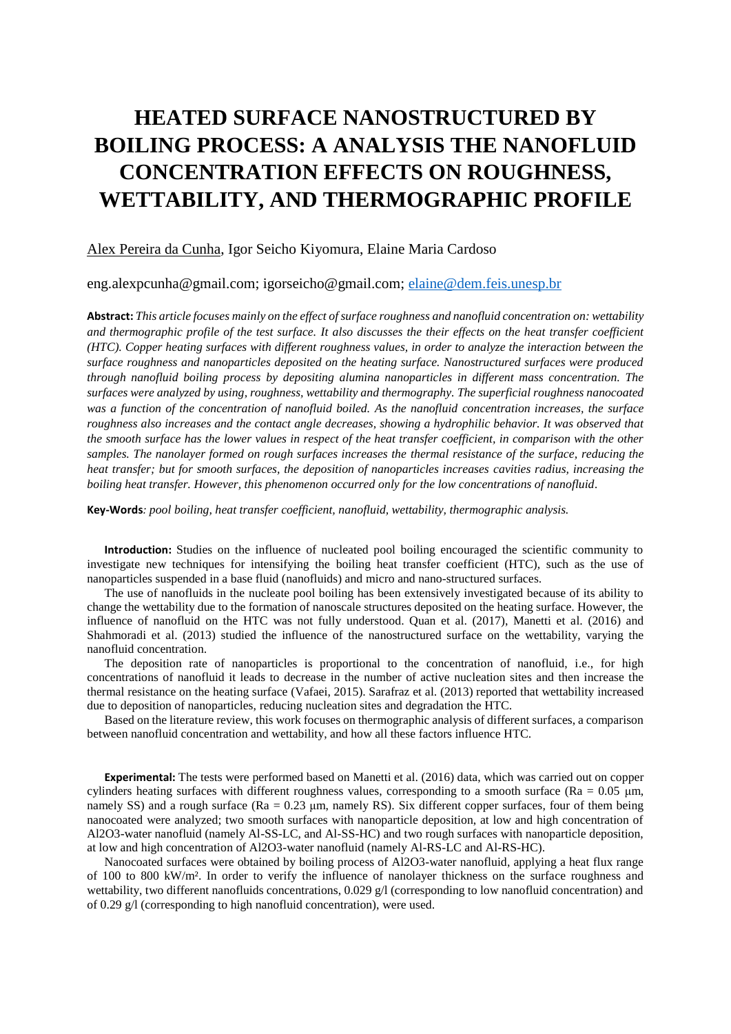## **HEATED SURFACE NANOSTRUCTURED BY BOILING PROCESS: A ANALYSIS THE NANOFLUID CONCENTRATION EFFECTS ON ROUGHNESS, WETTABILITY, AND THERMOGRAPHIC PROFILE**

## Alex Pereira da Cunha, Igor Seicho Kiyomura, Elaine Maria Cardoso

eng.alexpcunha@gmail.com; igorseicho@gmail.com; [elaine@dem.feis.unesp.br](mailto:elaine@dem.feis.unesp.br)

**Abstract:** *This article focuses mainly on the effect of surface roughness and nanofluid concentration on: wettability and thermographic profile of the test surface. It also discusses the their effects on the heat transfer coefficient (HTC). Copper heating surfaces with different roughness values, in order to analyze the interaction between the surface roughness and nanoparticles deposited on the heating surface. Nanostructured surfaces were produced through nanofluid boiling process by depositing alumina nanoparticles in different mass concentration. The surfaces were analyzed by using, roughness, wettability and thermography. The superficial roughness nanocoated was a function of the concentration of nanofluid boiled. As the nanofluid concentration increases, the surface roughness also increases and the contact angle decreases, showing a hydrophilic behavior. It was observed that the smooth surface has the lower values in respect of the heat transfer coefficient, in comparison with the other samples. The nanolayer formed on rough surfaces increases the thermal resistance of the surface, reducing the heat transfer; but for smooth surfaces, the deposition of nanoparticles increases cavities radius, increasing the boiling heat transfer. However, this phenomenon occurred only for the low concentrations of nanofluid.*

**Key-Words***: pool boiling, heat transfer coefficient, nanofluid, wettability, thermographic analysis.*

**Introduction:** Studies on the influence of nucleated pool boiling encouraged the scientific community to investigate new techniques for intensifying the boiling heat transfer coefficient (HTC), such as the use of nanoparticles suspended in a base fluid (nanofluids) and micro and nano-structured surfaces.

The use of nanofluids in the nucleate pool boiling has been extensively investigated because of its ability to change the wettability due to the formation of nanoscale structures deposited on the heating surface. However, the influence of nanofluid on the HTC was not fully understood. Quan et al. (2017), Manetti et al. (2016) and Shahmoradi et al. (2013) studied the influence of the nanostructured surface on the wettability, varying the nanofluid concentration.

The deposition rate of nanoparticles is proportional to the concentration of nanofluid, i.e., for high concentrations of nanofluid it leads to decrease in the number of active nucleation sites and then increase the thermal resistance on the heating surface (Vafaei, 2015). Sarafraz et al. (2013) reported that wettability increased due to deposition of nanoparticles, reducing nucleation sites and degradation the HTC.

Based on the literature review, this work focuses on thermographic analysis of different surfaces, a comparison between nanofluid concentration and wettability, and how all these factors influence HTC.

**Experimental:** The tests were performed based on Manetti et al. (2016) data, which was carried out on copper cylinders heating surfaces with different roughness values, corresponding to a smooth surface (Ra =  $0.05 \mu m$ , namely SS) and a rough surface (Ra = 0.23 μm, namely RS). Six different copper surfaces, four of them being nanocoated were analyzed; two smooth surfaces with nanoparticle deposition, at low and high concentration of Al2O3-water nanofluid (namely Al-SS-LC, and Al-SS-HC) and two rough surfaces with nanoparticle deposition, at low and high concentration of Al2O3-water nanofluid (namely Al-RS-LC and Al-RS-HC).

Nanocoated surfaces were obtained by boiling process of Al2O3-water nanofluid, applying a heat flux range of 100 to 800 kW/m². In order to verify the influence of nanolayer thickness on the surface roughness and wettability, two different nanofluids concentrations, 0.029 g/l (corresponding to low nanofluid concentration) and of 0.29 g/l (corresponding to high nanofluid concentration), were used.